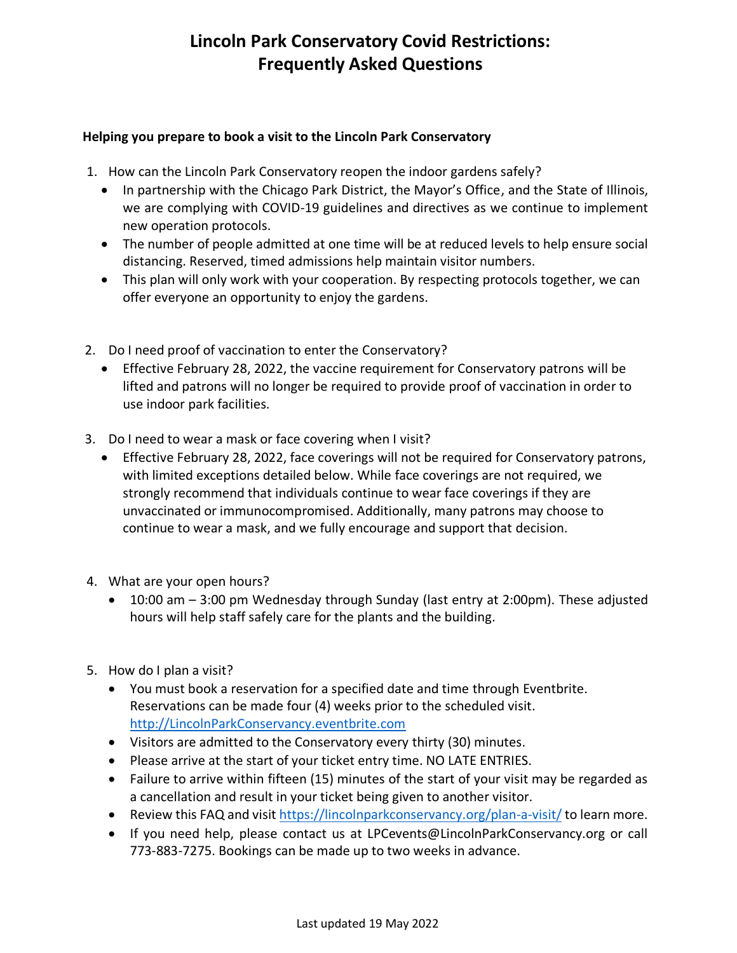## **Lincoln Park Conservatory Covid Restrictions: Frequently Asked Questions**

## **Helping you prepare to book a visit to the Lincoln Park Conservatory**

- 1. How can the Lincoln Park Conservatory reopen the indoor gardens safely?
	- In partnership with the Chicago Park District, the Mayor's Office, and the State of Illinois, we are complying with COVID-19 guidelines and directives as we continue to implement new operation protocols.
	- The number of people admitted at one time will be at reduced levels to help ensure social distancing. Reserved, timed admissions help maintain visitor numbers.
	- This plan will only work with your cooperation. By respecting protocols together, we can offer everyone an opportunity to enjoy the gardens.
- 2. Do I need proof of vaccination to enter the Conservatory?
	- Effective February 28, 2022, the vaccine requirement for Conservatory patrons will be lifted and patrons will no longer be required to provide proof of vaccination in order to use indoor park facilities.
- 3. Do I need to wear a mask or face covering when I visit?
	- Effective February 28, 2022, face coverings will not be required for Conservatory patrons, with limited exceptions detailed below. While face coverings are not required, we strongly recommend that individuals continue to wear face coverings if they are unvaccinated or immunocompromised. Additionally, many patrons may choose to continue to wear a mask, and we fully encourage and support that decision.
- 4. What are your open hours?
	- 10:00 am 3:00 pm Wednesday through Sunday (last entry at 2:00pm). These adjusted hours will help staff safely care for the plants and the building.
- 5. How do I plan a visit?
	- You must book a reservation for a specified date and time through E[ven](https://www.chicagoparkdistrict.com/permits-rentals/filming-photography)tbrite. Reservations can be made four (4) weeks prior to the scheduled visit. [http://LincolnParkConservancy.eventbrite.com](http://lincolnparkconservancy.eventbrite.com/)
	- Visitors are admitted to the Conservatory every thirty (30) minutes.
	- Please arrive at the start of your ticket entry time. NO LATE ENTRIES.
	- Failure to arrive within fifteen (15) minutes of the start of your visit may be regarded as a cancellation and result in your ticket being given to another visitor.
	- Review [t](http://weblink.donorperfect.com/LPConservatory)his FAQ and visit [https://lincolnparkconservancy.org/plan-a-visit/](http://weblink.donorperfect.com/LPConservatory) [to](https://lincolnparkconservancy.org/plan-a-visit/) learn more.
	- If you need help, please contact us at LPCevents@LincolnParkConservancy.org or call 773-883-7275. Bookings can be made up to two weeks in advance.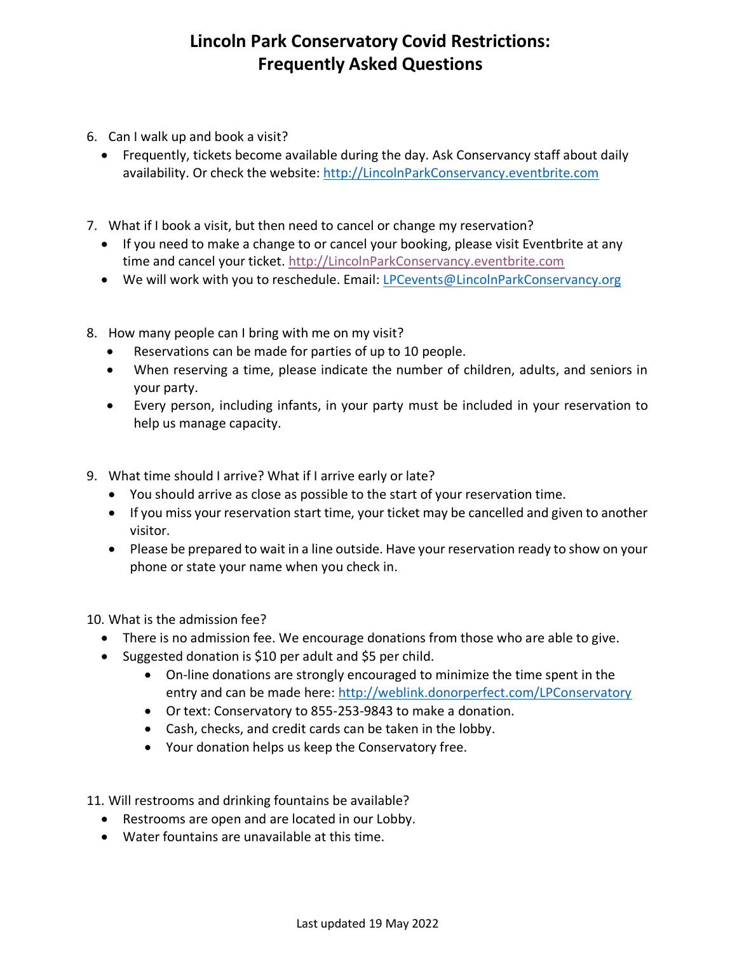## **Lincoln Park Conservatory Covid Restrictions: Frequently Asked Questions**

- 6. Can I walk up and book a visit?
	- Frequently, tickets become available during the day. Ask Conservancy staff about daily availability. Or check the website: [http://LincolnParkConservancy.eventbrite.com](http://lincolnparkconservancy.eventbrite.com/)
- 7. What if I book a visit, but then need to cancel or change my reservation?
	- If you need to make a change to or cancel your booking, please visit Eventbrite at any time and cancel your ticket. [http://LincolnParkConservancy.eventbrite.com](http://lincolnparkconservancy.eventbrite.com/)
	- We will work with you to reschedule. Email: [LPCevents@LincolnParkConservancy.org](mailto:LPCevents@LincolnParkConservancy.org)
- 8. How many people can I bring with me on my visit?
	- Reservations can be made for parties of up to 10 people.
	- When reserving a time, please indicate the number of children, adults, and seniors in your party.
	- Every person, including infants, in your party must be included in your reservation to help us manage capacity.
- 9. What time should I arrive? What if I arrive early or late?
	- You should arrive as close as possible to the start of your reservation time.
	- If you miss your reservation start time, your ticket may be cancelled and given to another visitor.
	- Please be prepared to wait in a line outside. Have your reservation ready to show on your phone or state your name when you check in.

10. What is the admission fee?

- There is no admission fee. We encourage donations from those who are able to give.
- Suggested donation is \$10 per adult and \$5 per child.
	- On-line donations are strongly encouraged to minimize the time spent in the entry and can be made here: [http://weblink.donorperfect.com/LPConservatory](http://lincolnparkconservancy.eventbrite.com/)
	- Or text: Conservatory to 855-253-9843 to make a donation.
	- Cash, checks, and credit cards can be taken in the lobby.
	- Your donation helps us keep the Conservatory free.

11. Will restrooms and drinking fountains be available?

- Restrooms are open and are located in our Lobby.
- Water fountains are unavailable at this time.